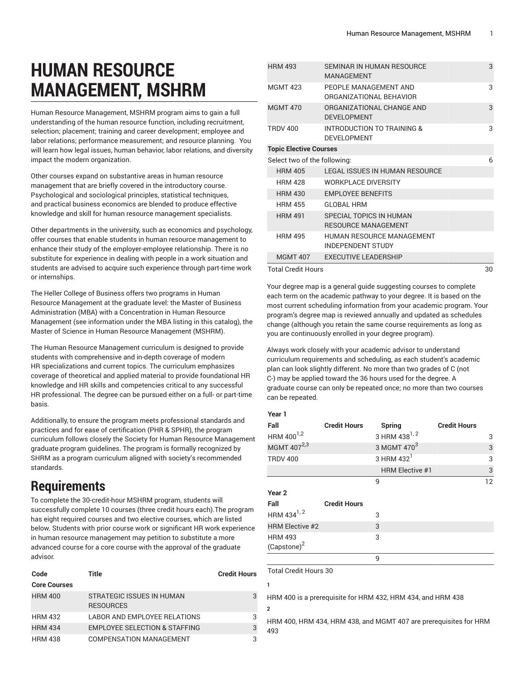# **HUMAN RESOURCE MANAGEMENT, MSHRM**

Human Resource Management, MSHRM program aims to gain a full understanding of the human resource function, including recruitment, selection; placement; training and career development; employee and labor relations; performance measurement; and resource planning. You will learn how legal issues, human behavior, labor relations, and diversity impact the modern organization.

Other courses expand on substantive areas in human resource management that are briefly covered in the introductory course. Psychological and sociological principles, statistical techniques, and practical business economics are blended to produce effective knowledge and skill for human resource management specialists.

Other departments in the university, such as economics and psychology, offer courses that enable students in human resource management to enhance their study of the employer-employee relationship. There is no substitute for experience in dealing with people in a work situation and students are advised to acquire such experience through part-time work or internships.

The Heller College of Business offers two programs in Human Resource Management at the graduate level: the Master of Business Administration (MBA) with a Concentration in Human Resource Management (see information under the MBA listing in this catalog), the Master of Science in Human Resource Management (MSHRM).

The Human Resource Management curriculum is designed to provide students with comprehensive and in-depth coverage of modern HR specializations and current topics. The curriculum emphasizes coverage of theoretical and applied material to provide foundational HR knowledge and HR skills and competencies critical to any successful HR professional. The degree can be pursued either on a full- or part-time basis.

Additionally, to ensure the program meets professional standards and practices and for ease of certification (PHR & SPHR), the program curriculum follows closely the Society for Human Resource Management graduate program guidelines. The program is formally recognized by SHRM as a program curriculum aligned with society's recommended standards.

## **Requirements**

To complete the 30-credit-hour MSHRM program, students will successfully complete 10 courses (three credit hours each).The program has eight required courses and two elective courses, which are listed below. Students with prior course work or significant HR work experience in human resource management may petition to substitute a more advanced course for a core course with the approval of the graduate advisor.

| Code                | Title                                         | <b>Credit Hours</b> |
|---------------------|-----------------------------------------------|---------------------|
| <b>Core Courses</b> |                                               |                     |
| <b>HRM 400</b>      | STRATEGIC ISSUES IN HUMAN<br><b>RESOURCES</b> |                     |
| <b>HRM 432</b>      | <b>LABOR AND EMPLOYEE RELATIONS</b>           | 3                   |
| <b>HRM 434</b>      | <b>EMPLOYEE SELECTION &amp; STAFFING</b>      | 3                   |
| <b>HRM 438</b>      | COMPENSATION MANAGEMENT                       | 3                   |

| <b>HRM 493</b>                | SEMINAR IN HUMAN RESOURCE<br>MANAGEMENT                      | 3  |
|-------------------------------|--------------------------------------------------------------|----|
| <b>MGMT 423</b>               | PEOPLE MANAGEMENT AND<br>ORGANIZATIONAL BEHAVIOR             | 3  |
| <b>MGMT 470</b>               | ORGANIZATIONAL CHANGE AND<br><b>DEVELOPMENT</b>              | 3  |
| <b>TRDV 400</b>               | INTRODUCTION TO TRAINING &<br><b>DEVELOPMENT</b>             | 3  |
| <b>Topic Elective Courses</b> |                                                              |    |
| Select two of the following:  | 6                                                            |    |
| <b>HRM 405</b>                | LEGAL ISSUES IN HUMAN RESOURCE                               |    |
| <b>HRM 428</b>                | <b>WORKPLACE DIVERSITY</b>                                   |    |
| <b>HRM 430</b>                | <b>EMPLOYEE BENEFITS</b>                                     |    |
| <b>HRM 455</b>                | <b>GLOBAL HRM</b>                                            |    |
| <b>HRM 491</b>                | SPECIAL TOPICS IN HUMAN<br><b>RESOURCE MANAGEMENT</b>        |    |
| <b>HRM 495</b>                | <b>HUMAN RESOURCE MANAGEMENT</b><br><b>INDEPENDENT STUDY</b> |    |
| <b>MGMT 407</b>               | <b>EXECUTIVE LEADERSHIP</b>                                  |    |
| Total Cradit Houre            |                                                              | 3U |

Total Credit Hours

Your degree map is a general guide suggesting courses to complete each term on the academic pathway to your degree. It is based on the most current scheduling information from your academic program. Your program's degree map is reviewed annually and updated as schedules change (although you retain the same course requirements as long as you are continuously enrolled in your degree program).

Always work closely with your academic advisor to understand curriculum requirements and scheduling, as each student's academic plan can look slightly different. No more than two grades of C (not C-) may be applied toward the 36 hours used for the degree. A graduate course can only be repeated once; no more than two courses can be repeated.

**Year 1**

| . са. н                 |                     |                           |                     |    |
|-------------------------|---------------------|---------------------------|---------------------|----|
| Fall                    | <b>Credit Hours</b> | Spring                    | <b>Credit Hours</b> |    |
| HRM 400 <sup>1,2</sup>  |                     | 3 HRM 438 <sup>1, 2</sup> |                     | 3  |
| MGMT 407 <sup>2,3</sup> |                     | 3 MGMT 470 <sup>3</sup>   |                     | 3  |
| <b>TRDV 400</b>         |                     | 3 HRM 432 <sup>1</sup>    |                     | 3  |
|                         |                     | <b>HRM Elective #1</b>    |                     | 3  |
|                         |                     | 9                         |                     | 12 |
| Year <sub>2</sub>       |                     |                           |                     |    |
| Fall                    | <b>Credit Hours</b> |                           |                     |    |
| HRM 434 <sup>1, 2</sup> |                     | 3                         |                     |    |
| <b>HRM Elective #2</b>  |                     | 3                         |                     |    |
| <b>HRM 493</b>          |                     | 3                         |                     |    |
| (Capstone) <sup>2</sup> |                     |                           |                     |    |
|                         |                     | 9                         |                     |    |
|                         |                     |                           |                     |    |

Total Credit Hours 30

**1**

**2**

HRM 400 is a prerequisite for HRM 432, HRM 434, and HRM 438

HRM 400, HRM 434, HRM 438, and MGMT 407 are prerequisites for HRM 493